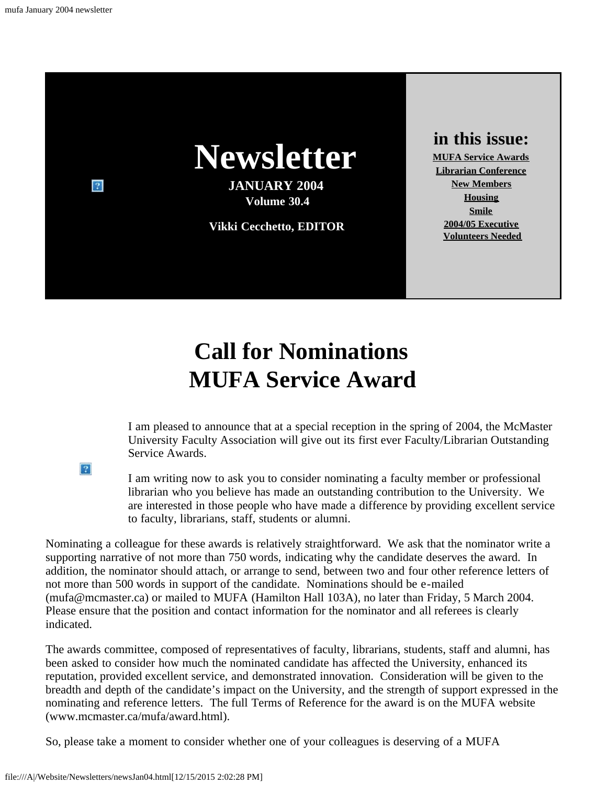

## **Call for Nominations MUFA Service Award**

I am pleased to announce that at a special reception in the spring of 2004, the McMaster University Faculty Association will give out its first ever Faculty/Librarian Outstanding Service Awards.

I am writing now to ask you to consider nominating a faculty member or professional librarian who you believe has made an outstanding contribution to the University. We are interested in those people who have made a difference by providing excellent service to faculty, librarians, staff, students or alumni.

Nominating a colleague for these awards is relatively straightforward. We ask that the nominator write a supporting narrative of not more than 750 words, indicating why the candidate deserves the award. In addition, the nominator should attach, or arrange to send, between two and four other reference letters of not more than 500 words in support of the candidate. Nominations should be e-mailed (mufa@mcmaster.ca) or mailed to MUFA (Hamilton Hall 103A), no later than Friday, 5 March 2004. Please ensure that the position and contact information for the nominator and all referees is clearly indicated.

The awards committee, composed of representatives of faculty, librarians, students, staff and alumni, has been asked to consider how much the nominated candidate has affected the University, enhanced its reputation, provided excellent service, and demonstrated innovation. Consideration will be given to the breadth and depth of the candidate's impact on the University, and the strength of support expressed in the nominating and reference letters. The full Terms of Reference for the award is on the MUFA website (www.mcmaster.ca/mufa/award.html).

So, please take a moment to consider whether one of your colleagues is deserving of a MUFA

<span id="page-0-0"></span> $|2|$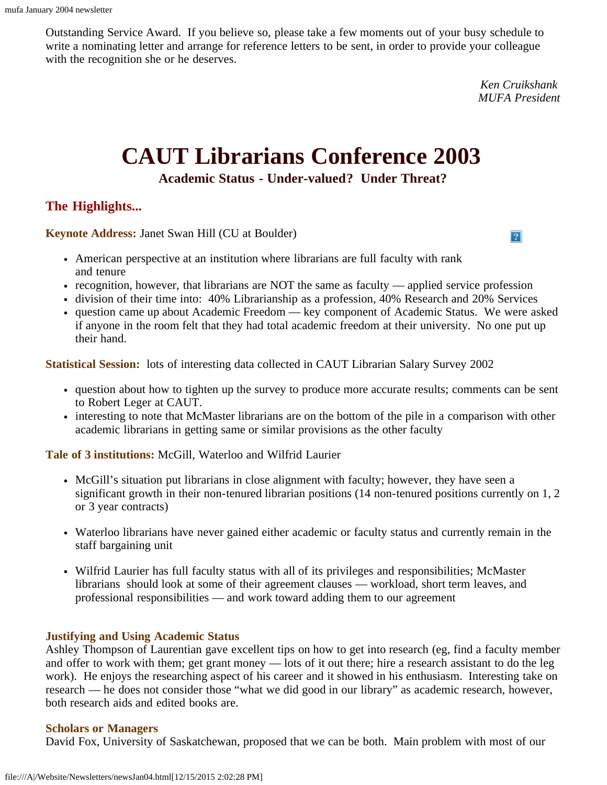Outstanding Service Award. If you believe so, please take a few moments out of your busy schedule to write a nominating letter and arrange for reference letters to be sent, in order to provide your colleague with the recognition she or he deserves.

> *Ken Cruikshank MUFA President*

> > $|2|$

# **CAUT Librarians Conference 2003**

**Academic Status - Under-valued? Under Threat?**

#### <span id="page-1-0"></span>**The Highlights...**

**Keynote Address:** Janet Swan Hill (CU at Boulder)

- American perspective at an institution where librarians are full faculty with rank and tenure
- recognition, however, that librarians are NOT the same as faculty applied service profession
- division of their time into: 40% Librarianship as a profession, 40% Research and 20% Services
- question came up about Academic Freedom key component of Academic Status. We were asked if anyone in the room felt that they had total academic freedom at their university. No one put up their hand.

**Statistical Session:** lots of interesting data collected in CAUT Librarian Salary Survey 2002

- question about how to tighten up the survey to produce more accurate results; comments can be sent to Robert Leger at CAUT.
- interesting to note that McMaster librarians are on the bottom of the pile in a comparison with other academic librarians in getting same or similar provisions as the other faculty

**Tale of 3 institutions:** McGill, Waterloo and Wilfrid Laurier

- McGill's situation put librarians in close alignment with faculty; however, they have seen a significant growth in their non-tenured librarian positions (14 non-tenured positions currently on 1, 2 or 3 year contracts)
- Waterloo librarians have never gained either academic or faculty status and currently remain in the staff bargaining unit
- Wilfrid Laurier has full faculty status with all of its privileges and responsibilities; McMaster librarians should look at some of their agreement clauses — workload, short term leaves, and professional responsibilities — and work toward adding them to our agreement

#### **Justifying and Using Academic Status**

Ashley Thompson of Laurentian gave excellent tips on how to get into research (eg, find a faculty member and offer to work with them; get grant money — lots of it out there; hire a research assistant to do the leg work). He enjoys the researching aspect of his career and it showed in his enthusiasm. Interesting take on research — he does not consider those "what we did good in our library" as academic research, however, both research aids and edited books are.

#### **Scholars or Managers**

David Fox, University of Saskatchewan, proposed that we can be both. Main problem with most of our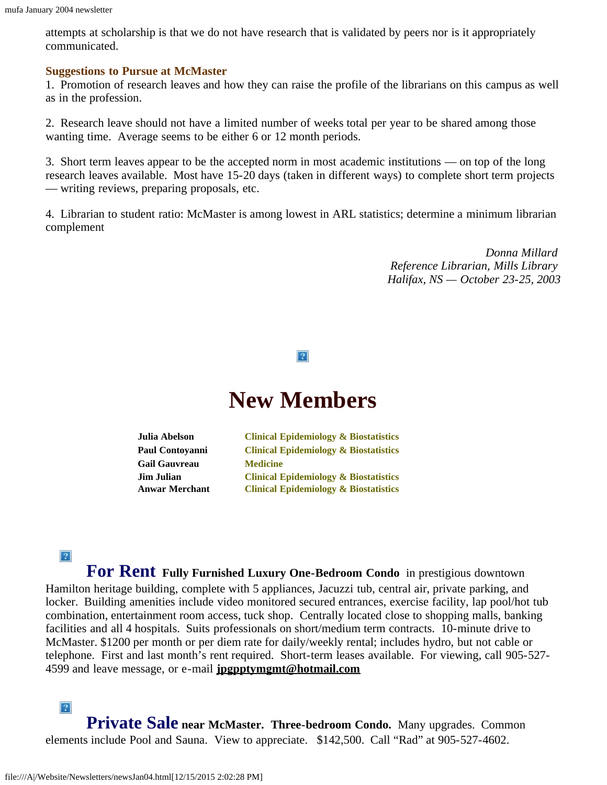attempts at scholarship is that we do not have research that is validated by peers nor is it appropriately communicated.

#### **Suggestions to Pursue at McMaster**

1. Promotion of research leaves and how they can raise the profile of the librarians on this campus as well as in the profession.

2. Research leave should not have a limited number of weeks total per year to be shared among those wanting time. Average seems to be either 6 or 12 month periods.

3. Short term leaves appear to be the accepted norm in most academic institutions — on top of the long research leaves available. Most have 15-20 days (taken in different ways) to complete short term projects — writing reviews, preparing proposals, etc.

<span id="page-2-0"></span>4. Librarian to student ratio: McMaster is among lowest in ARL statistics; determine a minimum librarian complement

> *Donna Millard Reference Librarian, Mills Library Halifax, NS — October 23-25, 2003*

#### $|2|$

### **New Members**

**Julia Abelson Paul Contoyanni Gail Gauvreau Jim Julian Anwar Merchant Clinical Epidemiology & Biostatistics Clinical Epidemiology & Biostatistics Medicine Clinical Epidemiology & Biostatistics Clinical Epidemiology & Biostatistics**

#### $\overline{?}$

<span id="page-2-1"></span>**For Rent Fully Furnished Luxury One-Bedroom Condo** in prestigious downtown Hamilton heritage building, complete with 5 appliances, Jacuzzi tub, central air, private parking, and locker. Building amenities include video monitored secured entrances, exercise facility, lap pool/hot tub combination, entertainment room access, tuck shop. Centrally located close to shopping malls, banking facilities and all 4 hospitals. Suits professionals on short/medium term contracts. 10-minute drive to McMaster. \$1200 per month or per diem rate for daily/weekly rental; includes hydro, but not cable or telephone. First and last month's rent required. Short-term leases available. For viewing, call 905-527- 4599 and leave message, or e-mail **[jpgpptymgmt@hotmail.com](mailto:jpgpptymgmt@hotmail.com)**

 $|2|$ **Private Sale near McMaster. Three-bedroom Condo.** Many upgrades. Common elements include Pool and Sauna. View to appreciate. \$142,500. Call "Rad" at 905-527-4602.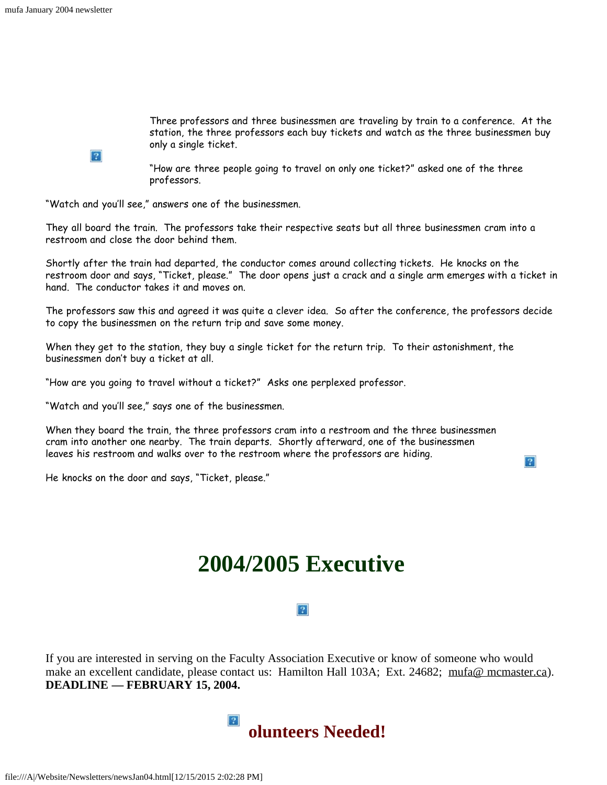$|2|$ 

Three professors and three businessmen are traveling by train to a conference. At the station, the three professors each buy tickets and watch as the three businessmen buy only a single ticket.

 $|2|$ 

"How are three people going to travel on only one ticket?" asked one of the three professors.

<span id="page-3-0"></span>"Watch and you'll see," answers one of the businessmen.

They all board the train. The professors take their respective seats but all three businessmen cram into a restroom and close the door behind them.

Shortly after the train had departed, the conductor comes around collecting tickets. He knocks on the restroom door and says, "Ticket, please." The door opens just a crack and a single arm emerges with a ticket in hand. The conductor takes it and moves on.

The professors saw this and agreed it was quite a clever idea. So after the conference, the professors decide to copy the businessmen on the return trip and save some money.

When they get to the station, they buy a single ticket for the return trip. To their astonishment, the businessmen don't buy a ticket at all.

"How are you going to travel without a ticket?" Asks one perplexed professor.

"Watch and you'll see," says one of the businessmen.

When they board the train, the three professors cram into a restroom and the three businessmen cram into another one nearby. The train departs. Shortly afterward, one of the businessmen leaves his restroom and walks over to the restroom where the professors are hiding.

<span id="page-3-1"></span>He knocks on the door and says, "Ticket, please."

## **2004/2005 Executive**

#### $|2|$

<span id="page-3-2"></span>If you are interested in serving on the Faculty Association Executive or know of someone who would make an excellent candidate, please contact us: Hamilton Hall 103A; Ext. 24682; [mufa@ mcmaster.ca\)](mailto:mufa@mcmaster.ca). **DEADLINE — FEBRUARY 15, 2004.**